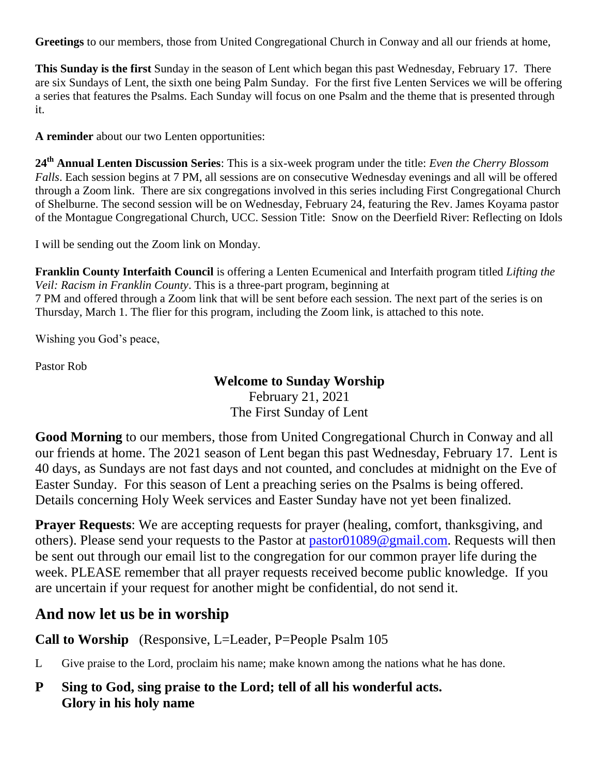**Greetings** to our members, those from United Congregational Church in Conway and all our friends at home,

**This Sunday is the first** Sunday in the season of Lent which began this past Wednesday, February 17. There are six Sundays of Lent, the sixth one being Palm Sunday. For the first five Lenten Services we will be offering a series that features the Psalms. Each Sunday will focus on one Psalm and the theme that is presented through it.

**A reminder** about our two Lenten opportunities:

**24th Annual Lenten Discussion Series**: This is a six-week program under the title: *Even the Cherry Blossom Falls*. Each session begins at 7 PM, all sessions are on consecutive Wednesday evenings and all will be offered through a Zoom link. There are six congregations involved in this series including First Congregational Church of Shelburne. The second session will be on Wednesday, February 24, featuring the Rev. James Koyama pastor of the Montague Congregational Church, UCC. Session Title: Snow on the Deerfield River: Reflecting on Idols

I will be sending out the Zoom link on Monday.

**Franklin County Interfaith Council** is offering a Lenten Ecumenical and Interfaith program titled *Lifting the Veil: Racism in Franklin County*. This is a three-part program, beginning at 7 PM and offered through a Zoom link that will be sent before each session. The next part of the series is on Thursday, March 1. The flier for this program, including the Zoom link, is attached to this note.

Wishing you God's peace,

Pastor Rob

#### **Welcome to Sunday Worship**

February 21, 2021 The First Sunday of Lent

**Good Morning** to our members, those from United Congregational Church in Conway and all our friends at home. The 2021 season of Lent began this past Wednesday, February 17. Lent is 40 days, as Sundays are not fast days and not counted, and concludes at midnight on the Eve of Easter Sunday. For this season of Lent a preaching series on the Psalms is being offered. Details concerning Holy Week services and Easter Sunday have not yet been finalized.

**Prayer Requests**: We are accepting requests for prayer (healing, comfort, thanksgiving, and others). Please send your requests to the Pastor at [pastor01089@gmail.com.](mailto:pastor01089@gmail.com) Requests will then be sent out through our email list to the congregation for our common prayer life during the week. PLEASE remember that all prayer requests received become public knowledge. If you are uncertain if your request for another might be confidential, do not send it.

# **And now let us be in worship**

**Call to Worship** (Responsive, L=Leader, P=People Psalm 105

L Give praise to the Lord, proclaim his name; make known among the nations what he has done.

**P Sing to God, sing praise to the Lord; tell of all his wonderful acts. Glory in his holy name**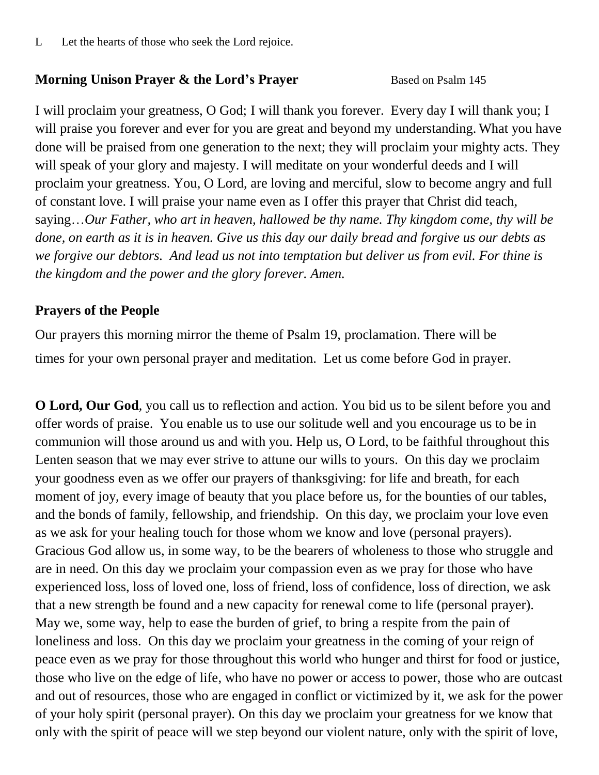L Let the hearts of those who seek the Lord rejoice.

### **Morning Unison Prayer & the Lord's Prayer** Based on Psalm 145

I will proclaim your greatness, O God; I will thank you forever. Every day I will thank you; I will praise you forever and ever for you are great and beyond my understanding. What you have done will be praised from one generation to the next; they will proclaim your mighty acts. They will speak of your glory and majesty. I will meditate on your wonderful deeds and I will proclaim your greatness. You, O Lord, are loving and merciful, slow to become angry and full of constant love. I will praise your name even as I offer this prayer that Christ did teach, saying…*Our Father, who art in heaven, hallowed be thy name. Thy kingdom come, thy will be done, on earth as it is in heaven. Give us this day our daily bread and forgive us our debts as we forgive our debtors. And lead us not into temptation but deliver us from evil. For thine is the kingdom and the power and the glory forever. Amen.*

### **Prayers of the People**

Our prayers this morning mirror the theme of Psalm 19, proclamation. There will be times for your own personal prayer and meditation. Let us come before God in prayer.

**O Lord, Our God**, you call us to reflection and action. You bid us to be silent before you and offer words of praise. You enable us to use our solitude well and you encourage us to be in communion will those around us and with you. Help us, O Lord, to be faithful throughout this Lenten season that we may ever strive to attune our wills to yours. On this day we proclaim your goodness even as we offer our prayers of thanksgiving: for life and breath, for each moment of joy, every image of beauty that you place before us, for the bounties of our tables, and the bonds of family, fellowship, and friendship. On this day, we proclaim your love even as we ask for your healing touch for those whom we know and love (personal prayers). Gracious God allow us, in some way, to be the bearers of wholeness to those who struggle and are in need. On this day we proclaim your compassion even as we pray for those who have experienced loss, loss of loved one, loss of friend, loss of confidence, loss of direction, we ask that a new strength be found and a new capacity for renewal come to life (personal prayer). May we, some way, help to ease the burden of grief, to bring a respite from the pain of loneliness and loss. On this day we proclaim your greatness in the coming of your reign of peace even as we pray for those throughout this world who hunger and thirst for food or justice, those who live on the edge of life, who have no power or access to power, those who are outcast and out of resources, those who are engaged in conflict or victimized by it, we ask for the power of your holy spirit (personal prayer). On this day we proclaim your greatness for we know that only with the spirit of peace will we step beyond our violent nature, only with the spirit of love,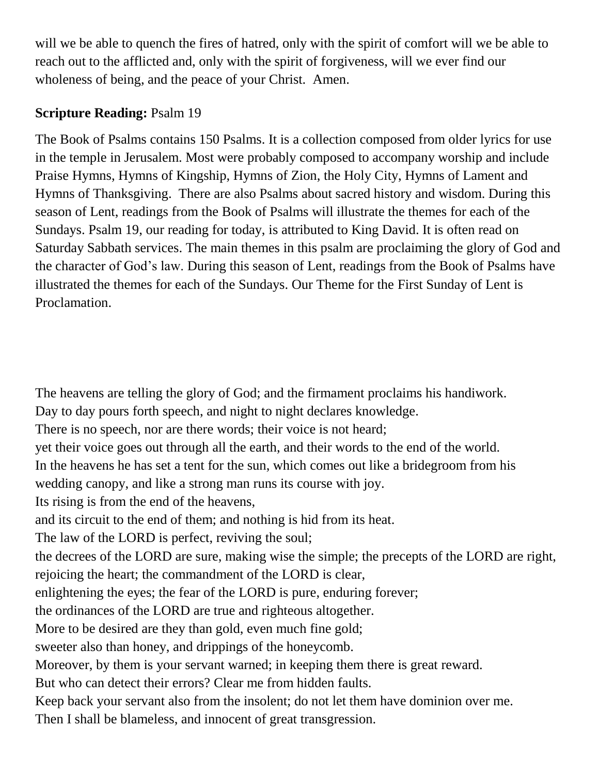will we be able to quench the fires of hatred, only with the spirit of comfort will we be able to reach out to the afflicted and, only with the spirit of forgiveness, will we ever find our wholeness of being, and the peace of your Christ. Amen.

## **Scripture Reading:** Psalm 19

The Book of Psalms contains 150 Psalms. It is a collection composed from older lyrics for use in the temple in Jerusalem. Most were probably composed to accompany worship and include Praise Hymns, Hymns of Kingship, Hymns of Zion, the Holy City, Hymns of Lament and Hymns of Thanksgiving. There are also Psalms about sacred history and wisdom. During this season of Lent, readings from the Book of Psalms will illustrate the themes for each of the Sundays. Psalm 19, our reading for today, is attributed to King David. It is often read on Saturday Sabbath services. The main themes in this psalm are proclaiming the glory of God and the character of God's law. During this season of Lent, readings from the Book of Psalms have illustrated the themes for each of the Sundays. Our Theme for the First Sunday of Lent is Proclamation.

The heavens are telling the glory of God; and the firmament proclaims his handiwork. Day to day pours forth speech, and night to night declares knowledge. There is no speech, nor are there words; their voice is not heard; yet their voice goes out through all the earth, and their words to the end of the world. In the heavens he has set a tent for the sun, which comes out like a bridegroom from his wedding canopy, and like a strong man runs its course with joy. Its rising is from the end of the heavens, and its circuit to the end of them; and nothing is hid from its heat. The law of the LORD is perfect, reviving the soul; the decrees of the LORD are sure, making wise the simple; the precepts of the LORD are right, rejoicing the heart; the commandment of the LORD is clear, enlightening the eyes; the fear of the LORD is pure, enduring forever; the ordinances of the LORD are true and righteous altogether. More to be desired are they than gold, even much fine gold; sweeter also than honey, and drippings of the honeycomb. Moreover, by them is your servant warned; in keeping them there is great reward. But who can detect their errors? Clear me from hidden faults. Keep back your servant also from the insolent; do not let them have dominion over me. Then I shall be blameless, and innocent of great transgression.